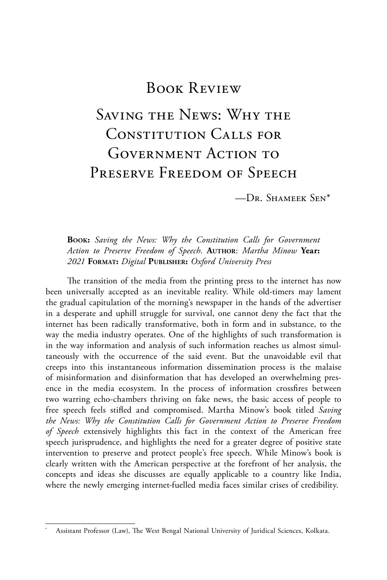# Book Review

# Saving the News: Why the Constitution Calls for GOVERNMENT ACTION TO PRESERVE FREEDOM OF SPEECH

—Dr. Shameek Sen\*

#### **Book:** *Saving the News: Why the Constitution Calls for Government Action to Preserve Freedom of Speech*. **Author**: *Martha Minow* **Year:**  *2021* **Format:** *Digital* **Publisher:** *Oxford University Press*

The transition of the media from the printing press to the internet has now been universally accepted as an inevitable reality. While old-timers may lament the gradual capitulation of the morning's newspaper in the hands of the advertiser in a desperate and uphill struggle for survival, one cannot deny the fact that the internet has been radically transformative, both in form and in substance, to the way the media industry operates. One of the highlights of such transformation is in the way information and analysis of such information reaches us almost simultaneously with the occurrence of the said event. But the unavoidable evil that creeps into this instantaneous information dissemination process is the malaise of misinformation and disinformation that has developed an overwhelming presence in the media ecosystem. In the process of information crossfires between two warring echo-chambers thriving on fake news, the basic access of people to free speech feels stifled and compromised. Martha Minow's book titled *Saving the News: Why the Constitution Calls for Government Action to Preserve Freedom of Speech* extensively highlights this fact in the context of the American free speech jurisprudence, and highlights the need for a greater degree of positive state intervention to preserve and protect people's free speech. While Minow's book is clearly written with the American perspective at the forefront of her analysis, the concepts and ideas she discusses are equally applicable to a country like India, where the newly emerging internet-fuelled media faces similar crises of credibility.

Assistant Professor (Law), The West Bengal National University of Juridical Sciences, Kolkata.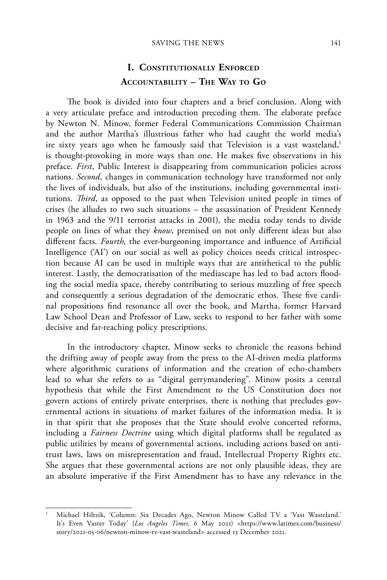## **I. Constitutionally Enforced Accountability – The Way to Go**

The book is divided into four chapters and a brief conclusion. Along with a very articulate preface and introduction preceding them. The elaborate preface by Newton N. Minow, former Federal Communications Commission Chairman and the author Martha's illustrious father who had caught the world media's ire sixty years ago when he famously said that Television is a vast wasteland,<sup>1</sup> is thought-provoking in more ways than one. He makes five observations in his preface. *First*, Public Interest is disappearing from communication policies across nations. *Second*, changes in communication technology have transformed not only the lives of individuals, but also of the institutions, including governmental institutions. *Third*, as opposed to the past when Television united people in times of crises (he alludes to two such situations – the assassination of President Kennedy in 1963 and the 9/11 terrorist attacks in 2001), the media today tends to divide people on lines of what they *know*, premised on not only different ideas but also different facts. *Fourth*, the ever-burgeoning importance and influence of Artificial Intelligence ('AI') on our social as well as policy choices needs critical introspection because AI can be used in multiple ways that are antithetical to the public interest. Lastly, the democratisation of the mediascape has led to bad actors flooding the social media space, thereby contributing to serious muzzling of free speech and consequently a serious degradation of the democratic ethos. These five cardinal propositions find resonance all over the book, and Martha, former Harvard Law School Dean and Professor of Law, seeks to respond to her father with some decisive and far-reaching policy prescriptions.

In the introductory chapter, Minow seeks to chronicle the reasons behind the drifting away of people away from the press to the AI-driven media platforms where algorithmic curations of information and the creation of echo-chambers lead to what she refers to as "digital gerrymandering". Minow posits a central hypothesis that while the First Amendment to the US Constitution does not govern actions of entirely private enterprises, there is nothing that precludes governmental actions in situations of market failures of the information media. It is in that spirit that she proposes that the State should evolve concerted reforms, including a *Fairness Doctrine* using which digital platforms shall be regulated as public utilities by means of governmental actions, including actions based on antitrust laws, laws on misrepresentation and fraud, Intellectual Property Rights etc. She argues that these governmental actions are not only plausible ideas, they are an absolute imperative if the First Amendment has to have any relevance in the

<sup>1</sup> Michael Hiltzik, 'Column: Six Decades Ago, Newton Minow Called TV a 'Vast Wasteland.' It's Even Vaster Today' (*Los Angeles Times*, 6 May 2021) <https://www.latimes.com/business/ story/2021-05-06/newton-minow-tv-vast-wasteland> accessed 13 December 2021.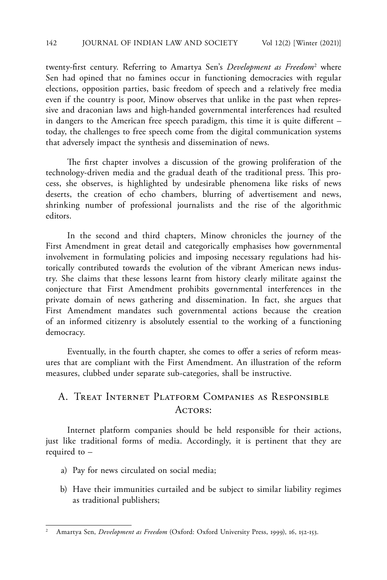twenty-first century. Referring to Amartya Sen's *Development as Freedom*<sup>2</sup> where Sen had opined that no famines occur in functioning democracies with regular elections, opposition parties, basic freedom of speech and a relatively free media even if the country is poor, Minow observes that unlike in the past when repressive and draconian laws and high-handed governmental interferences had resulted in dangers to the American free speech paradigm, this time it is quite different – today, the challenges to free speech come from the digital communication systems that adversely impact the synthesis and dissemination of news.

The first chapter involves a discussion of the growing proliferation of the technology-driven media and the gradual death of the traditional press. This process, she observes, is highlighted by undesirable phenomena like risks of news deserts, the creation of echo chambers, blurring of advertisement and news, shrinking number of professional journalists and the rise of the algorithmic editors.

In the second and third chapters, Minow chronicles the journey of the First Amendment in great detail and categorically emphasises how governmental involvement in formulating policies and imposing necessary regulations had historically contributed towards the evolution of the vibrant American news industry. She claims that these lessons learnt from history clearly militate against the conjecture that First Amendment prohibits governmental interferences in the private domain of news gathering and dissemination. In fact, she argues that First Amendment mandates such governmental actions because the creation of an informed citizenry is absolutely essential to the working of a functioning democracy.

Eventually, in the fourth chapter, she comes to offer a series of reform measures that are compliant with the First Amendment. An illustration of the reform measures, clubbed under separate sub-categories, shall be instructive.

### A. Treat Internet Platform Companies as Responsible ACTORS:

Internet platform companies should be held responsible for their actions, just like traditional forms of media. Accordingly, it is pertinent that they are required to –

- a) Pay for news circulated on social media;
- b) Have their immunities curtailed and be subject to similar liability regimes as traditional publishers;

<sup>2</sup> Amartya Sen, *Development as Freedom* (Oxford: Oxford University Press, 1999), 16, 152-153.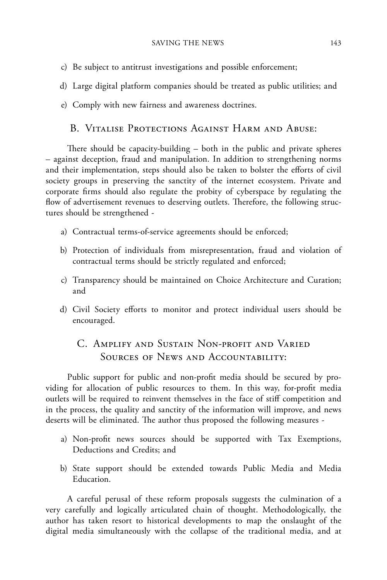- c) Be subject to antitrust investigations and possible enforcement;
- d) Large digital platform companies should be treated as public utilities; and
- e) Comply with new fairness and awareness doctrines.

### B. Vitalise Protections Against Harm and Abuse:

There should be capacity-building – both in the public and private spheres – against deception, fraud and manipulation. In addition to strengthening norms and their implementation, steps should also be taken to bolster the efforts of civil society groups in preserving the sanctity of the internet ecosystem. Private and corporate firms should also regulate the probity of cyberspace by regulating the flow of advertisement revenues to deserving outlets. Therefore, the following structures should be strengthened -

- a) Contractual terms-of-service agreements should be enforced;
- b) Protection of individuals from misrepresentation, fraud and violation of contractual terms should be strictly regulated and enforced;
- c) Transparency should be maintained on Choice Architecture and Curation; and
- d) Civil Society efforts to monitor and protect individual users should be encouraged.

# C. Amplify and Sustain Non-profit and Varied SOURCES OF NEWS AND ACCOUNTABILITY:

Public support for public and non-profit media should be secured by providing for allocation of public resources to them. In this way, for-profit media outlets will be required to reinvent themselves in the face of stiff competition and in the process, the quality and sanctity of the information will improve, and news deserts will be eliminated. The author thus proposed the following measures -

- a) Non-profit news sources should be supported with Tax Exemptions, Deductions and Credits; and
- b) State support should be extended towards Public Media and Media Education.

A careful perusal of these reform proposals suggests the culmination of a very carefully and logically articulated chain of thought. Methodologically, the author has taken resort to historical developments to map the onslaught of the digital media simultaneously with the collapse of the traditional media, and at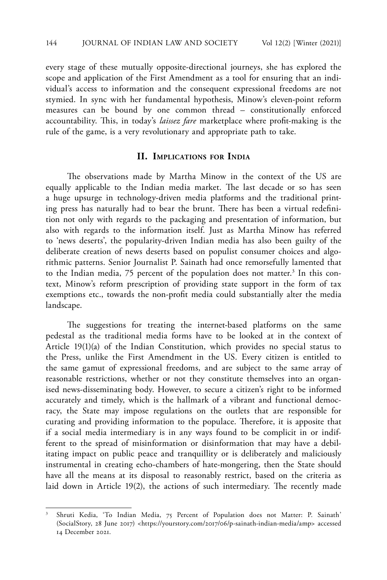every stage of these mutually opposite-directional journeys, she has explored the scope and application of the First Amendment as a tool for ensuring that an individual's access to information and the consequent expressional freedoms are not stymied. In sync with her fundamental hypothesis, Minow's eleven-point reform measures can be bound by one common thread – constitutionally enforced accountability. This, in today's *laissez fare* marketplace where profit-making is the rule of the game, is a very revolutionary and appropriate path to take.

#### **II. Implications for India**

The observations made by Martha Minow in the context of the US are equally applicable to the Indian media market. The last decade or so has seen a huge upsurge in technology-driven media platforms and the traditional printing press has naturally had to bear the brunt. There has been a virtual redefinition not only with regards to the packaging and presentation of information, but also with regards to the information itself. Just as Martha Minow has referred to 'news deserts', the popularity-driven Indian media has also been guilty of the deliberate creation of news deserts based on populist consumer choices and algorithmic patterns. Senior Journalist P. Sainath had once remorsefully lamented that to the Indian media, 75 percent of the population does not matter.<sup>3</sup> In this context, Minow's reform prescription of providing state support in the form of tax exemptions etc., towards the non-profit media could substantially alter the media landscape.

The suggestions for treating the internet-based platforms on the same pedestal as the traditional media forms have to be looked at in the context of Article 19(1)(a) of the Indian Constitution, which provides no special status to the Press, unlike the First Amendment in the US. Every citizen is entitled to the same gamut of expressional freedoms, and are subject to the same array of reasonable restrictions, whether or not they constitute themselves into an organised news-disseminating body. However, to secure a citizen's right to be informed accurately and timely, which is the hallmark of a vibrant and functional democracy, the State may impose regulations on the outlets that are responsible for curating and providing information to the populace. Therefore, it is apposite that if a social media intermediary is in any ways found to be complicit in or indifferent to the spread of misinformation or disinformation that may have a debilitating impact on public peace and tranquillity or is deliberately and maliciously instrumental in creating echo-chambers of hate-mongering, then the State should have all the means at its disposal to reasonably restrict, based on the criteria as laid down in Article 19(2), the actions of such intermediary. The recently made

<sup>3</sup> Shruti Kedia, 'To Indian Media, 75 Percent of Population does not Matter: P. Sainath' (SocialStory, 28 June 2017) <https://yourstory.com/2017/06/p-sainath-indian-media/amp> accessed 14 December 2021.